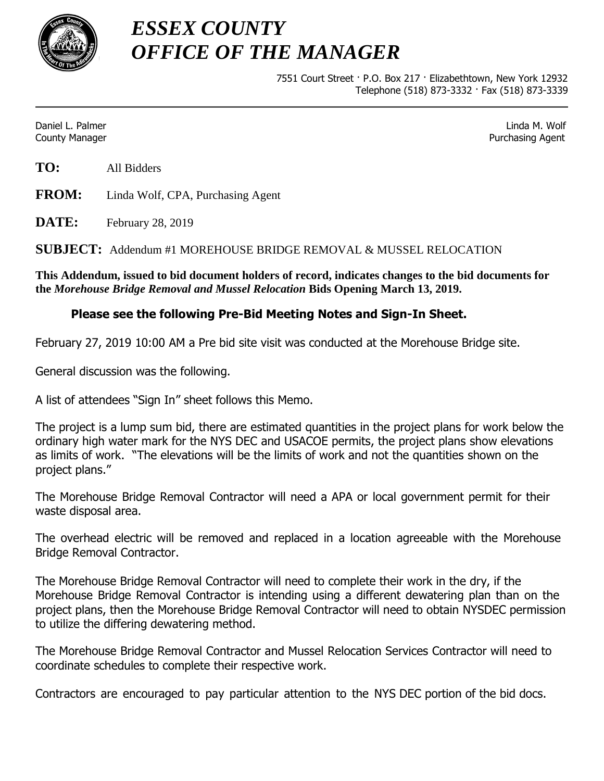

*ESSEX COUNTY OFFICE OF THE MANAGER*

> 7551 Court Street · P.O. Box 217 · Elizabethtown, New York 12932 Telephone (518) 873-3332 · Fax (518) 873-3339

Daniel L. Palmer Linda M. Wolf County Manager Purchasing Agent

**TO:** All Bidders

**FROM:** Linda Wolf, CPA, Purchasing Agent

**DATE:** February 28, 2019

**SUBJECT:** Addendum #1 MOREHOUSE BRIDGE REMOVAL & MUSSEL RELOCATION

**This Addendum, issued to bid document holders of record, indicates changes to the bid documents for the** *Morehouse Bridge Removal and Mussel Relocation* **Bids Opening March 13, 2019.**

## **Please see the following Pre-Bid Meeting Notes and Sign-In Sheet.**

February 27, 2019 10:00 AM a Pre bid site visit was conducted at the Morehouse Bridge site.

General discussion was the following.

A list of attendees "Sign In" sheet follows this Memo.

The project is a lump sum bid, there are estimated quantities in the project plans for work below the ordinary high water mark for the NYS DEC and USACOE permits, the project plans show elevations as limits of work. "The elevations will be the limits of work and not the quantities shown on the project plans."

The Morehouse Bridge Removal Contractor will need a APA or local government permit for their waste disposal area.

The overhead electric will be removed and replaced in a location agreeable with the Morehouse Bridge Removal Contractor.

The Morehouse Bridge Removal Contractor will need to complete their work in the dry, if the Morehouse Bridge Removal Contractor is intending using a different dewatering plan than on the project plans, then the Morehouse Bridge Removal Contractor will need to obtain NYSDEC permission to utilize the differing dewatering method.

The Morehouse Bridge Removal Contractor and Mussel Relocation Services Contractor will need to coordinate schedules to complete their respective work.

Contractors are encouraged to pay particular attention to the NYS DEC portion of the bid docs.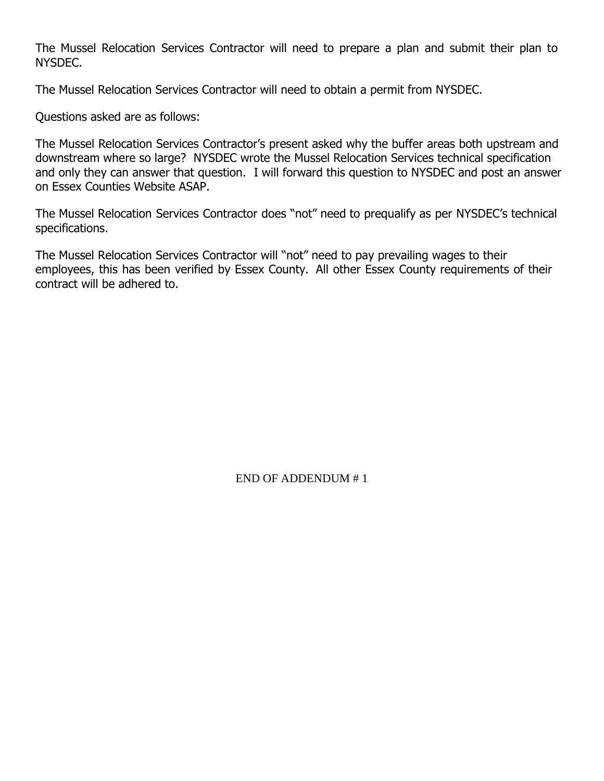The Mussel Relocation Services Contractor will need to prepare a plan and submit their plan to NYSDEC.

The Mussel Relocation Services Contractor will need to obtain a permit from NYSDEC.

Questions asked are as follows:

The Mussel Relocation Services Contractor's present asked why the buffer areas both upstream and downstream where so large? NYSDEC wrote the Mussel Relocation Services technical specification and only they can answer that question. I will forward this question to NYSDEC and post an answer on Essex Counties Website ASAP.

The Mussel Relocation Services Contractor does "not" need to prequalify as per NYSDEC's technical specifications.

The Mussel Relocation Services Contractor will "not" need to pay prevailing wages to their employees, this has been verified by Essex County. All other Essex County requirements of their contract will be adhered to.

END OF ADDENDUM # 1